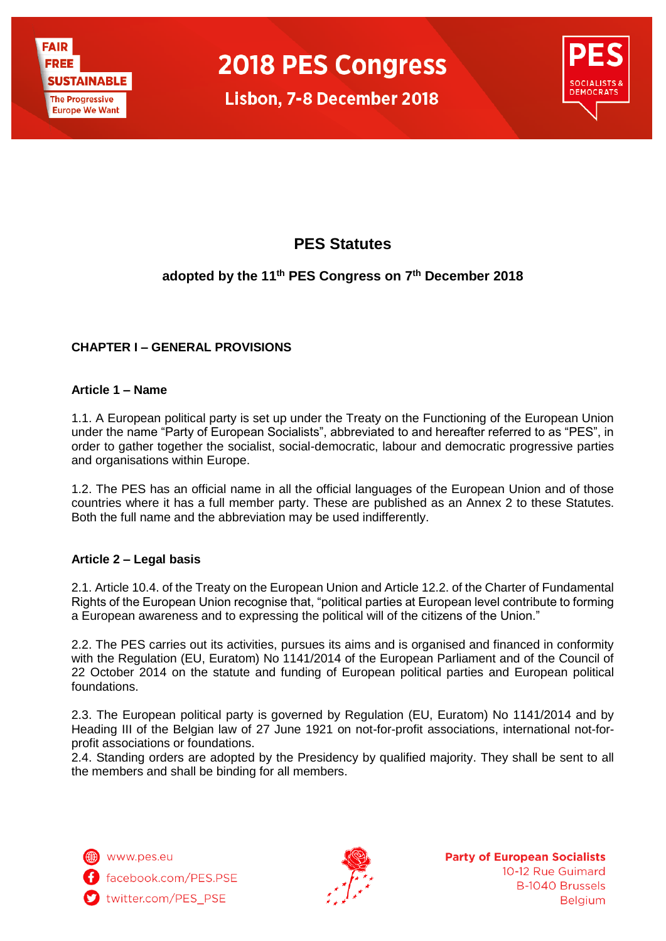

**2018 PES Congress** 

Lisbon, 7-8 December 2018



# **PES Statutes**

# **adopted by the 11 th PES Congress on 7 th December 2018**

# **CHAPTER I – GENERAL PROVISIONS**

#### **Article 1 – Name**

1.1. A European political party is set up under the Treaty on the Functioning of the European Union under the name "Party of European Socialists", abbreviated to and hereafter referred to as "PES", in order to gather together the socialist, social-democratic, labour and democratic progressive parties and organisations within Europe.

1.2. The PES has an official name in all the official languages of the European Union and of those countries where it has a full member party. These are published as an Annex 2 to these Statutes. Both the full name and the abbreviation may be used indifferently.

### **Article 2 – Legal basis**

2.1. Article 10.4. of the Treaty on the European Union and Article 12.2. of the Charter of Fundamental Rights of the European Union recognise that, "political parties at European level contribute to forming a European awareness and to expressing the political will of the citizens of the Union."

2.2. The PES carries out its activities, pursues its aims and is organised and financed in conformity with the Regulation (EU, Euratom) No 1141/2014 of the European Parliament and of the Council of 22 October 2014 on the statute and funding of European political parties and European political foundations.

2.3. The European political party is governed by Regulation (EU, Euratom) No 1141/2014 and by Heading III of the Belgian law of 27 June 1921 on not-for-profit associations, international not-forprofit associations or foundations.

2.4. Standing orders are adopted by the Presidency by qualified majority. They shall be sent to all the members and shall be binding for all members.



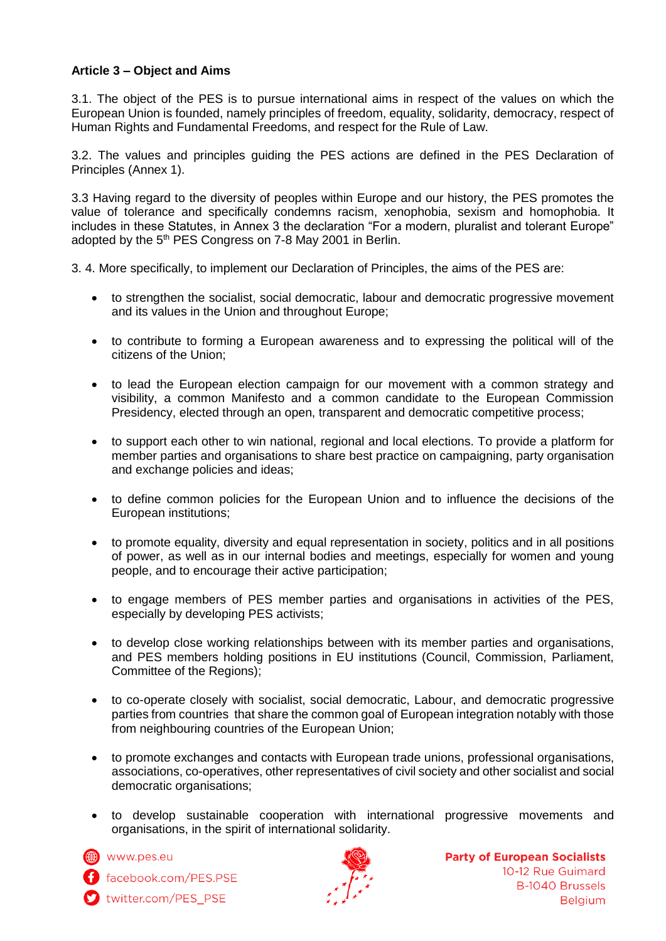### **Article 3 – Object and Aims**

3.1. The object of the PES is to pursue international aims in respect of the values on which the European Union is founded, namely principles of freedom, equality, solidarity, democracy, respect of Human Rights and Fundamental Freedoms, and respect for the Rule of Law.

3.2. The values and principles guiding the PES actions are defined in the PES Declaration of Principles (Annex 1).

3.3 Having regard to the diversity of peoples within Europe and our history, the PES promotes the value of tolerance and specifically condemns racism, xenophobia, sexism and homophobia. It includes in these Statutes, in Annex 3 the declaration "For a modern, pluralist and tolerant Europe" adopted by the 5<sup>th</sup> PES Congress on 7-8 May 2001 in Berlin.

3. 4. More specifically, to implement our Declaration of Principles, the aims of the PES are:

- to strengthen the socialist, social democratic, labour and democratic progressive movement and its values in the Union and throughout Europe;
- to contribute to forming a European awareness and to expressing the political will of the citizens of the Union;
- to lead the European election campaign for our movement with a common strategy and visibility, a common Manifesto and a common candidate to the European Commission Presidency, elected through an open, transparent and democratic competitive process;
- to support each other to win national, regional and local elections. To provide a platform for member parties and organisations to share best practice on campaigning, party organisation and exchange policies and ideas;
- to define common policies for the European Union and to influence the decisions of the European institutions;
- to promote equality, diversity and equal representation in society, politics and in all positions of power, as well as in our internal bodies and meetings, especially for women and young people, and to encourage their active participation;
- to engage members of PES member parties and organisations in activities of the PES, especially by developing PES activists;
- to develop close working relationships between with its member parties and organisations, and PES members holding positions in EU institutions (Council, Commission, Parliament, Committee of the Regions);
- to co-operate closely with socialist, social democratic, Labour, and democratic progressive parties from countries that share the common goal of European integration notably with those from neighbouring countries of the European Union;
- to promote exchanges and contacts with European trade unions, professional organisations, associations, co-operatives, other representatives of civil society and other socialist and social democratic organisations;
- to develop sustainable cooperation with international progressive movements and organisations, in the spirit of international solidarity.

www.pes.eu facebook.com/PES.PSE twitter.com/PES\_PSE

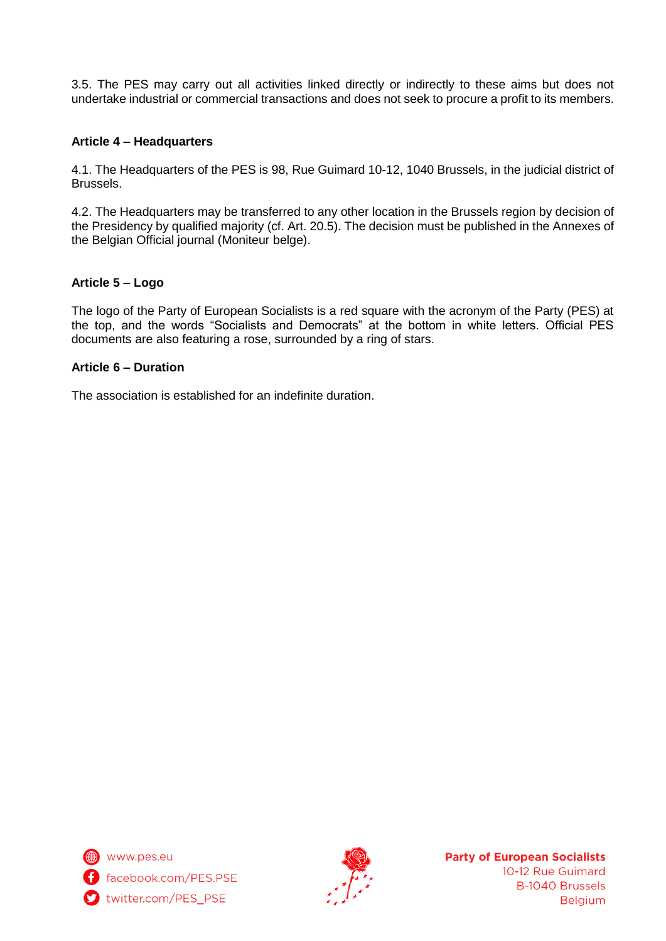3.5. The PES may carry out all activities linked directly or indirectly to these aims but does not undertake industrial or commercial transactions and does not seek to procure a profit to its members.

### **Article 4 – Headquarters**

4.1. The Headquarters of the PES is 98, Rue Guimard 10-12, 1040 Brussels, in the judicial district of Brussels.

4.2. The Headquarters may be transferred to any other location in the Brussels region by decision of the Presidency by qualified majority (cf. Art. 20.5). The decision must be published in the Annexes of the Belgian Official journal (Moniteur belge).

# **Article 5 – Logo**

The logo of the Party of European Socialists is a red square with the acronym of the Party (PES) at the top, and the words "Socialists and Democrats" at the bottom in white letters. Official PES documents are also featuring a rose, surrounded by a ring of stars.

#### **Article 6 – Duration**

The association is established for an indefinite duration.



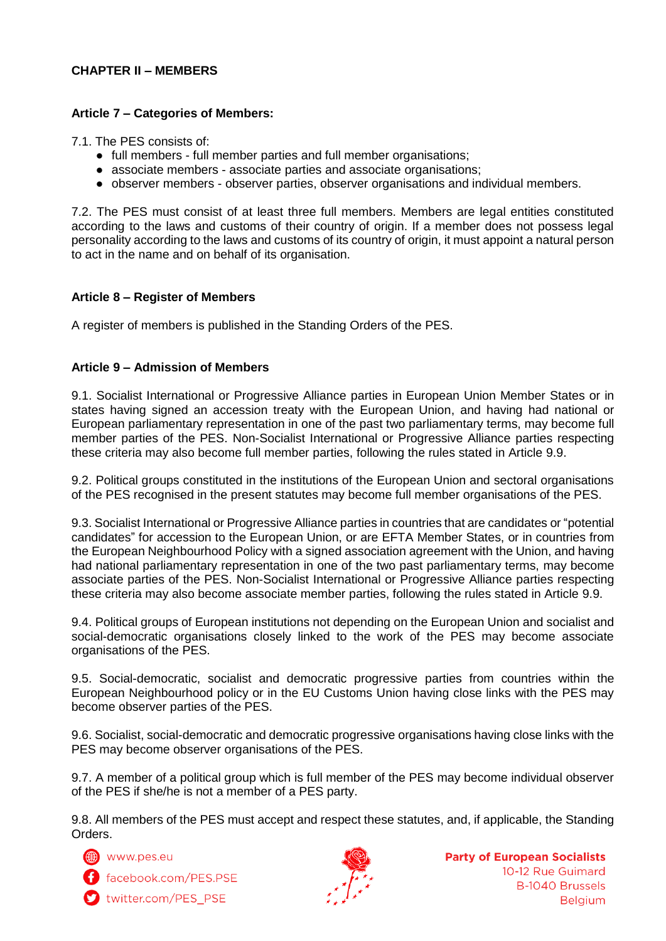### **CHAPTER II – MEMBERS**

#### **Article 7 – Categories of Members:**

7.1. The PES consists of:

- full members full member parties and full member organisations;
- associate members associate parties and associate organisations;
- observer members observer parties, observer organisations and individual members.

7.2. The PES must consist of at least three full members. Members are legal entities constituted according to the laws and customs of their country of origin. If a member does not possess legal personality according to the laws and customs of its country of origin, it must appoint a natural person to act in the name and on behalf of its organisation.

#### **Article 8 – Register of Members**

A register of members is published in the Standing Orders of the PES.

#### **Article 9 – Admission of Members**

9.1. Socialist International or Progressive Alliance parties in European Union Member States or in states having signed an accession treaty with the European Union, and having had national or European parliamentary representation in one of the past two parliamentary terms, may become full member parties of the PES. Non-Socialist International or Progressive Alliance parties respecting these criteria may also become full member parties, following the rules stated in Article 9.9.

9.2. Political groups constituted in the institutions of the European Union and sectoral organisations of the PES recognised in the present statutes may become full member organisations of the PES.

9.3. Socialist International or Progressive Alliance parties in countries that are candidates or "potential candidates" for accession to the European Union, or are EFTA Member States, or in countries from the European Neighbourhood Policy with a signed association agreement with the Union, and having had national parliamentary representation in one of the two past parliamentary terms, may become associate parties of the PES. Non-Socialist International or Progressive Alliance parties respecting these criteria may also become associate member parties, following the rules stated in Article 9.9.

9.4. Political groups of European institutions not depending on the European Union and socialist and social-democratic organisations closely linked to the work of the PES may become associate organisations of the PES.

9.5. Social-democratic, socialist and democratic progressive parties from countries within the European Neighbourhood policy or in the EU Customs Union having close links with the PES may become observer parties of the PES.

9.6. Socialist, social-democratic and democratic progressive organisations having close links with the PES may become observer organisations of the PES.

9.7. A member of a political group which is full member of the PES may become individual observer of the PES if she/he is not a member of a PES party.

9.8. All members of the PES must accept and respect these statutes, and, if applicable, the Standing Orders.



facebook.com/PES.PSE

twitter.com/PES PSE

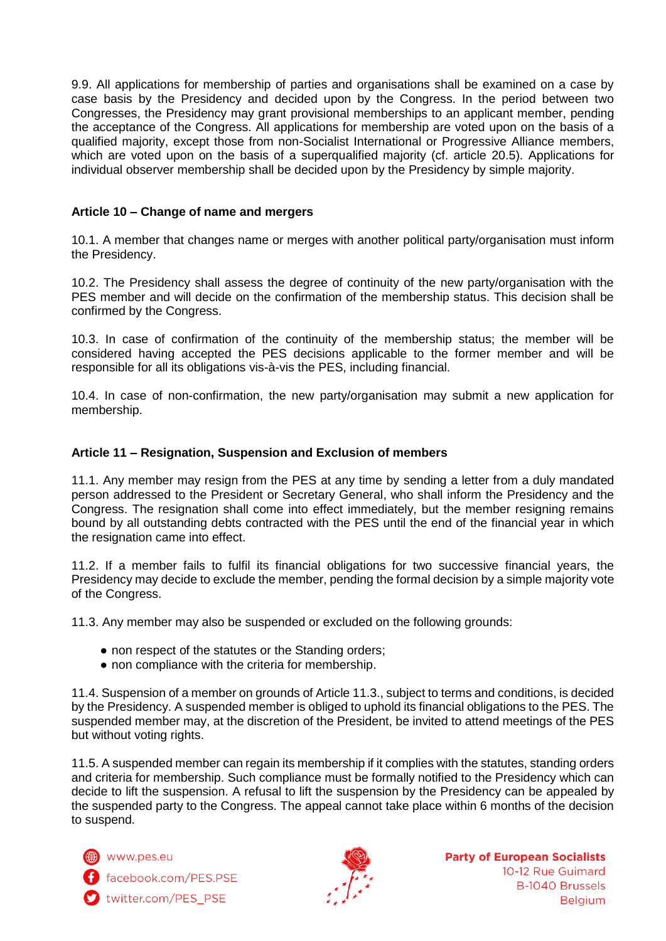9.9. All applications for membership of parties and organisations shall be examined on a case by case basis by the Presidency and decided upon by the Congress. In the period between two Congresses, the Presidency may grant provisional memberships to an applicant member, pending the acceptance of the Congress. All applications for membership are voted upon on the basis of a qualified majority, except those from non-Socialist International or Progressive Alliance members, which are voted upon on the basis of a superqualified majority (cf. article 20.5). Applications for individual observer membership shall be decided upon by the Presidency by simple majority.

### **Article 10 – Change of name and mergers**

10.1. A member that changes name or merges with another political party/organisation must inform the Presidency.

10.2. The Presidency shall assess the degree of continuity of the new party/organisation with the PES member and will decide on the confirmation of the membership status. This decision shall be confirmed by the Congress.

10.3. In case of confirmation of the continuity of the membership status; the member will be considered having accepted the PES decisions applicable to the former member and will be responsible for all its obligations vis-à-vis the PES, including financial.

10.4. In case of non-confirmation, the new party/organisation may submit a new application for membership.

#### **Article 11 – Resignation, Suspension and Exclusion of members**

11.1. Any member may resign from the PES at any time by sending a letter from a duly mandated person addressed to the President or Secretary General, who shall inform the Presidency and the Congress. The resignation shall come into effect immediately, but the member resigning remains bound by all outstanding debts contracted with the PES until the end of the financial year in which the resignation came into effect.

11.2. If a member fails to fulfil its financial obligations for two successive financial years, the Presidency may decide to exclude the member, pending the formal decision by a simple majority vote of the Congress.

11.3. Any member may also be suspended or excluded on the following grounds:

- non respect of the statutes or the Standing orders;
- non compliance with the criteria for membership.

11.4. Suspension of a member on grounds of Article 11.3., subject to terms and conditions, is decided by the Presidency. A suspended member is obliged to uphold its financial obligations to the PES. The suspended member may, at the discretion of the President, be invited to attend meetings of the PES but without voting rights.

11.5. A suspended member can regain its membership if it complies with the statutes, standing orders and criteria for membership. Such compliance must be formally notified to the Presidency which can decide to lift the suspension. A refusal to lift the suspension by the Presidency can be appealed by the suspended party to the Congress. The appeal cannot take place within 6 months of the decision to suspend.



www.pes.eu facebook.com/PES.PSE twitter.com/PES\_PSE

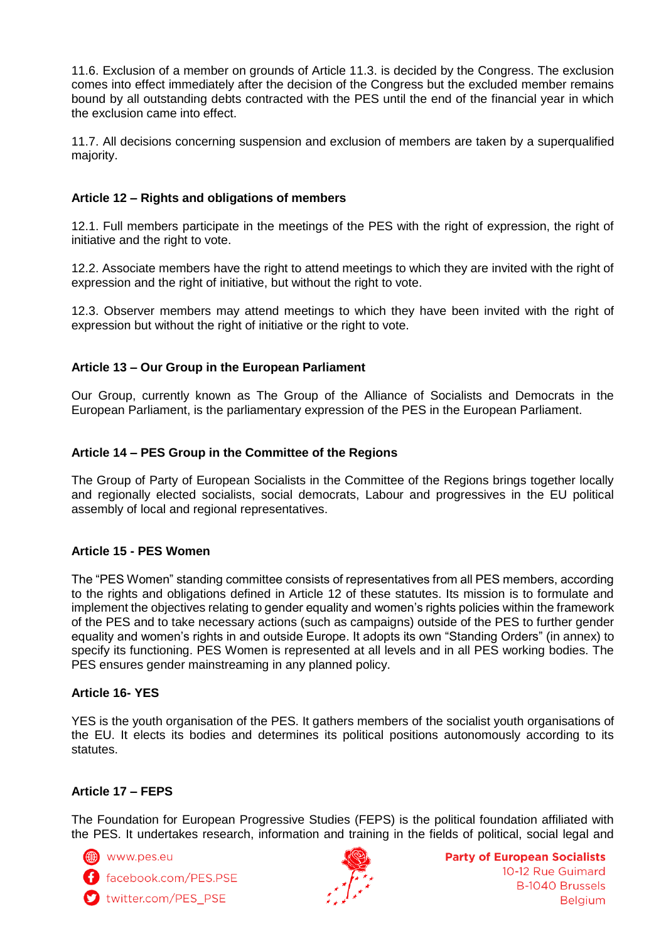11.6. Exclusion of a member on grounds of Article 11.3. is decided by the Congress. The exclusion comes into effect immediately after the decision of the Congress but the excluded member remains bound by all outstanding debts contracted with the PES until the end of the financial year in which the exclusion came into effect.

11.7. All decisions concerning suspension and exclusion of members are taken by a superqualified majority.

### **Article 12 – Rights and obligations of members**

12.1. Full members participate in the meetings of the PES with the right of expression, the right of initiative and the right to vote.

12.2. Associate members have the right to attend meetings to which they are invited with the right of expression and the right of initiative, but without the right to vote.

12.3. Observer members may attend meetings to which they have been invited with the right of expression but without the right of initiative or the right to vote.

### **Article 13 – Our Group in the European Parliament**

Our Group, currently known as The Group of the Alliance of Socialists and Democrats in the European Parliament, is the parliamentary expression of the PES in the European Parliament.

#### **Article 14 – PES Group in the Committee of the Regions**

The Group of Party of European Socialists in the Committee of the Regions brings together locally and regionally elected socialists, social democrats, Labour and progressives in the EU political assembly of local and regional representatives.

### **Article 15 - PES Women**

The "PES Women" standing committee consists of representatives from all PES members, according to the rights and obligations defined in Article 12 of these statutes. Its mission is to formulate and implement the objectives relating to gender equality and women's rights policies within the framework of the PES and to take necessary actions (such as campaigns) outside of the PES to further gender equality and women's rights in and outside Europe. It adopts its own "Standing Orders" (in annex) to specify its functioning. PES Women is represented at all levels and in all PES working bodies. The PES ensures gender mainstreaming in any planned policy.

#### **Article 16- YES**

YES is the youth organisation of the PES. It gathers members of the socialist youth organisations of the EU. It elects its bodies and determines its political positions autonomously according to its statutes.

#### **Article 17 – FEPS**

The Foundation for European Progressive Studies (FEPS) is the political foundation affiliated with the PES. It undertakes research, information and training in the fields of political, social legal and



facebook.com/PES.PSE

twitter.com/PES\_PSE

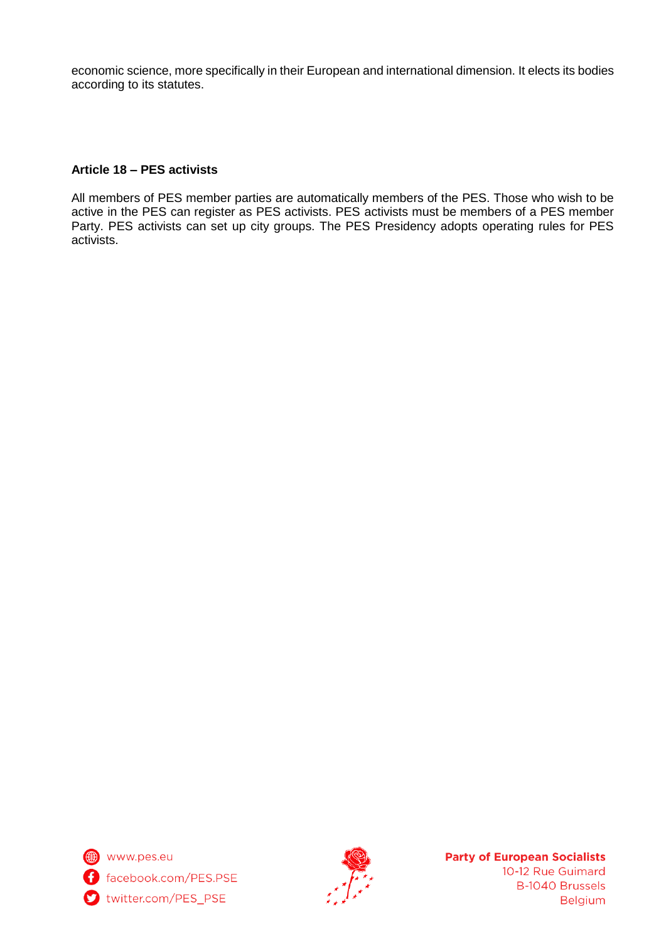economic science, more specifically in their European and international dimension. It elects its bodies according to its statutes.

### **Article 18 – PES activists**

All members of PES member parties are automatically members of the PES. Those who wish to be active in the PES can register as PES activists. PES activists must be members of a PES member Party. PES activists can set up city groups. The PES Presidency adopts operating rules for PES activists.

www.pes.eu facebook.com/PES.PSE twitter.com/PES\_PSE

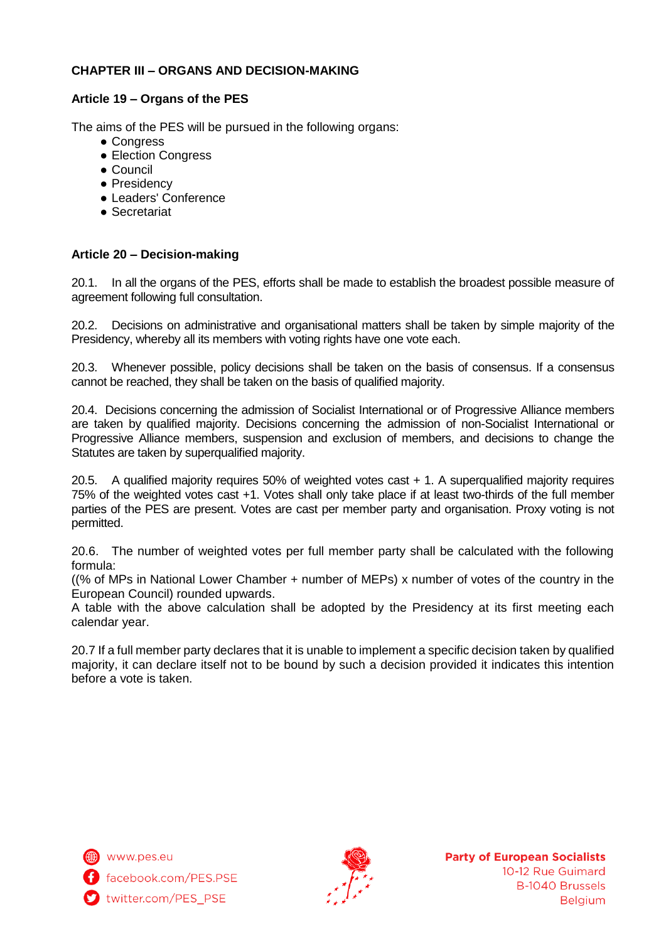### **CHAPTER III – ORGANS AND DECISION-MAKING**

### **Article 19** *–* **Organs of the PES**

The aims of the PES will be pursued in the following organs:

- Congress
- Election Congress
- Council
- Presidency
- Leaders' Conference
- Secretariat

### **Article 20 – Decision-making**

20.1. In all the organs of the PES, efforts shall be made to establish the broadest possible measure of agreement following full consultation.

20.2. Decisions on administrative and organisational matters shall be taken by simple majority of the Presidency, whereby all its members with voting rights have one vote each.

20.3. Whenever possible, policy decisions shall be taken on the basis of consensus. If a consensus cannot be reached, they shall be taken on the basis of qualified majority.

20.4. Decisions concerning the admission of Socialist International or of Progressive Alliance members are taken by qualified majority. Decisions concerning the admission of non-Socialist International or Progressive Alliance members, suspension and exclusion of members, and decisions to change the Statutes are taken by superqualified majority.

20.5. A qualified majority requires 50% of weighted votes cast + 1. A superqualified majority requires 75% of the weighted votes cast +1. Votes shall only take place if at least two-thirds of the full member parties of the PES are present. Votes are cast per member party and organisation. Proxy voting is not permitted.

20.6. The number of weighted votes per full member party shall be calculated with the following formula:

((% of MPs in National Lower Chamber + number of MEPs) x number of votes of the country in the European Council) rounded upwards.

A table with the above calculation shall be adopted by the Presidency at its first meeting each calendar year.

20.7 If a full member party declares that it is unable to implement a specific decision taken by qualified majority, it can declare itself not to be bound by such a decision provided it indicates this intention before a vote is taken.



www.pes.eu facebook.com/PES.PSE twitter.com/PES PSE

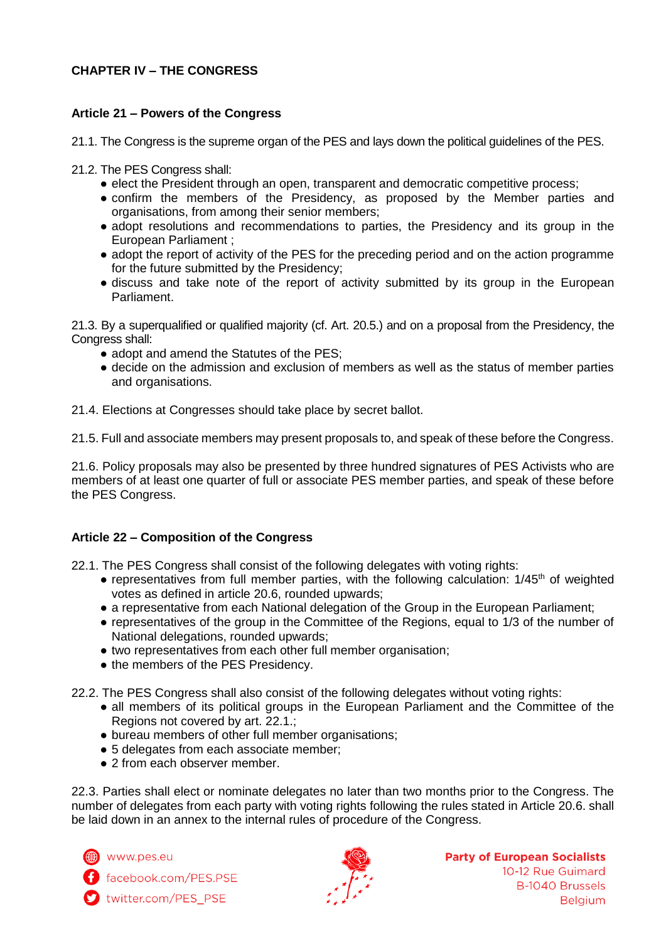# **CHAPTER IV – THE CONGRESS**

# **Article 21 – Powers of the Congress**

21.1. The Congress is the supreme organ of the PES and lays down the political guidelines of the PES.

21.2. The PES Congress shall:

- elect the President through an open, transparent and democratic competitive process;
- confirm the members of the Presidency, as proposed by the Member parties and organisations, from among their senior members;
- adopt resolutions and recommendations to parties, the Presidency and its group in the European Parliament ;
- adopt the report of activity of the PES for the preceding period and on the action programme for the future submitted by the Presidency;
- discuss and take note of the report of activity submitted by its group in the European Parliament.

21.3. By a superqualified or qualified majority (cf. Art. 20.5.) and on a proposal from the Presidency, the Congress shall:

- adopt and amend the Statutes of the PES;
- decide on the admission and exclusion of members as well as the status of member parties and organisations.

21.4. Elections at Congresses should take place by secret ballot.

21.5. Full and associate members may present proposals to, and speak of these before the Congress.

21.6. Policy proposals may also be presented by three hundred signatures of PES Activists who are members of at least one quarter of full or associate PES member parties, and speak of these before the PES Congress.

# **Article 22 – Composition of the Congress**

- 22.1. The PES Congress shall consist of the following delegates with voting rights:
	- representatives from full member parties, with the following calculation:  $1/45<sup>th</sup>$  of weighted votes as defined in article 20.6, rounded upwards;
	- a representative from each National delegation of the Group in the European Parliament;
	- representatives of the group in the Committee of the Regions, equal to 1/3 of the number of National delegations, rounded upwards;
	- two representatives from each other full member organisation;
	- the members of the PES Presidency.
- 22.2. The PES Congress shall also consist of the following delegates without voting rights:
	- all members of its political groups in the European Parliament and the Committee of the Regions not covered by art. 22.1.;
	- bureau members of other full member organisations;
	- 5 delegates from each associate member:
	- 2 from each observer member.

22.3. Parties shall elect or nominate delegates no later than two months prior to the Congress. The number of delegates from each party with voting rights following the rules stated in Article 20.6. shall be laid down in an annex to the internal rules of procedure of the Congress.

www.pes.eu

facebook.com/PES.PSE twitter.com/PES PSE

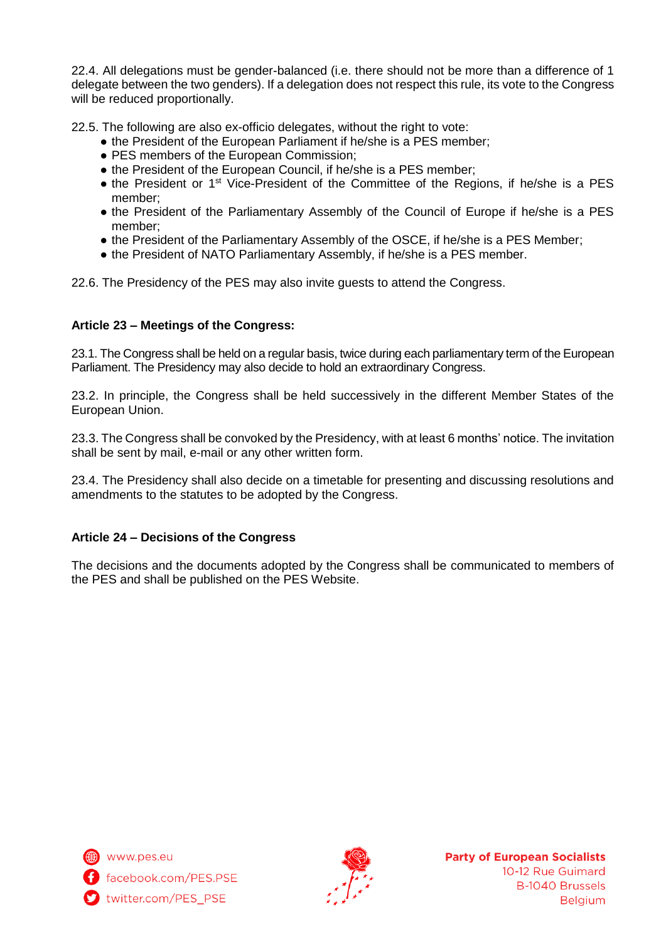22.4. All delegations must be gender-balanced (i.e. there should not be more than a difference of 1 delegate between the two genders). If a delegation does not respect this rule, its vote to the Congress will be reduced proportionally.

22.5. The following are also ex-officio delegates, without the right to vote:

- the President of the European Parliament if he/she is a PES member;
- PES members of the European Commission:
- the President of the European Council, if he/she is a PES member:
- the President or 1<sup>st</sup> Vice-President of the Committee of the Regions, if he/she is a PES member;
- the President of the Parliamentary Assembly of the Council of Europe if he/she is a PES member;
- the President of the Parliamentary Assembly of the OSCE, if he/she is a PES Member;
- the President of NATO Parliamentary Assembly, if he/she is a PES member.

22.6. The Presidency of the PES may also invite guests to attend the Congress.

### **Article 23 – Meetings of the Congress:**

23.1. The Congress shall be held on a regular basis, twice during each parliamentary term of the European Parliament. The Presidency may also decide to hold an extraordinary Congress.

23.2. In principle, the Congress shall be held successively in the different Member States of the European Union.

23.3. The Congress shall be convoked by the Presidency, with at least 6 months' notice. The invitation shall be sent by mail, e-mail or any other written form.

23.4. The Presidency shall also decide on a timetable for presenting and discussing resolutions and amendments to the statutes to be adopted by the Congress.

### **Article 24 – Decisions of the Congress**

The decisions and the documents adopted by the Congress shall be communicated to members of the PES and shall be published on the PES Website.



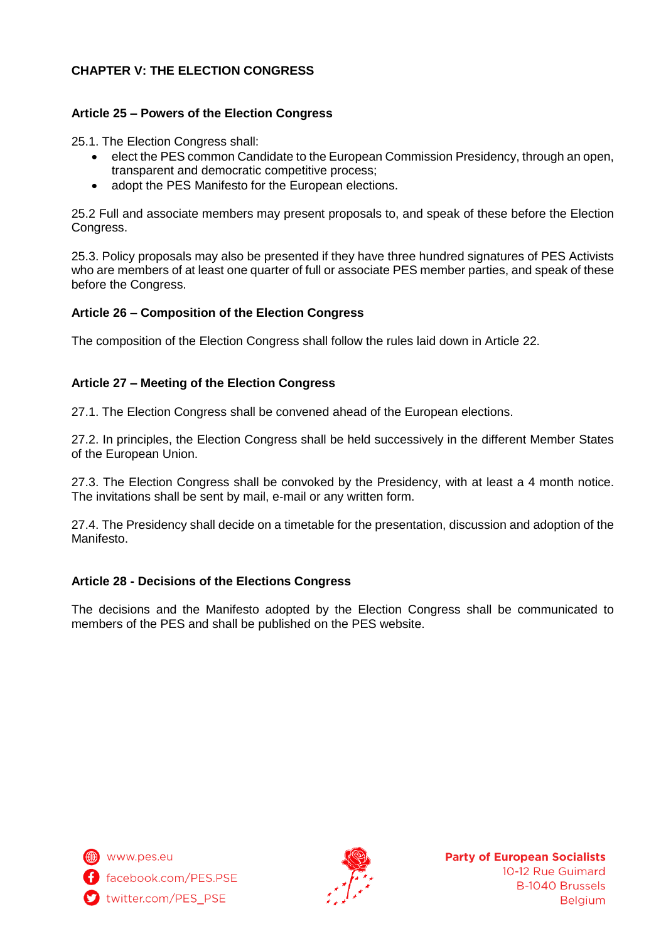# **CHAPTER V: THE ELECTION CONGRESS**

# **Article 25 – Powers of the Election Congress**

25.1. The Election Congress shall:

- elect the PES common Candidate to the European Commission Presidency, through an open, transparent and democratic competitive process;
- adopt the PES Manifesto for the European elections.

25.2 Full and associate members may present proposals to, and speak of these before the Election Congress.

25.3. Policy proposals may also be presented if they have three hundred signatures of PES Activists who are members of at least one quarter of full or associate PES member parties, and speak of these before the Congress.

# **Article 26 – Composition of the Election Congress**

The composition of the Election Congress shall follow the rules laid down in Article 22.

# **Article 27 – Meeting of the Election Congress**

27.1. The Election Congress shall be convened ahead of the European elections.

27.2. In principles, the Election Congress shall be held successively in the different Member States of the European Union.

27.3. The Election Congress shall be convoked by the Presidency, with at least a 4 month notice. The invitations shall be sent by mail, e-mail or any written form.

27.4. The Presidency shall decide on a timetable for the presentation, discussion and adoption of the Manifesto.

# **Article 28 - Decisions of the Elections Congress**

The decisions and the Manifesto adopted by the Election Congress shall be communicated to members of the PES and shall be published on the PES website.



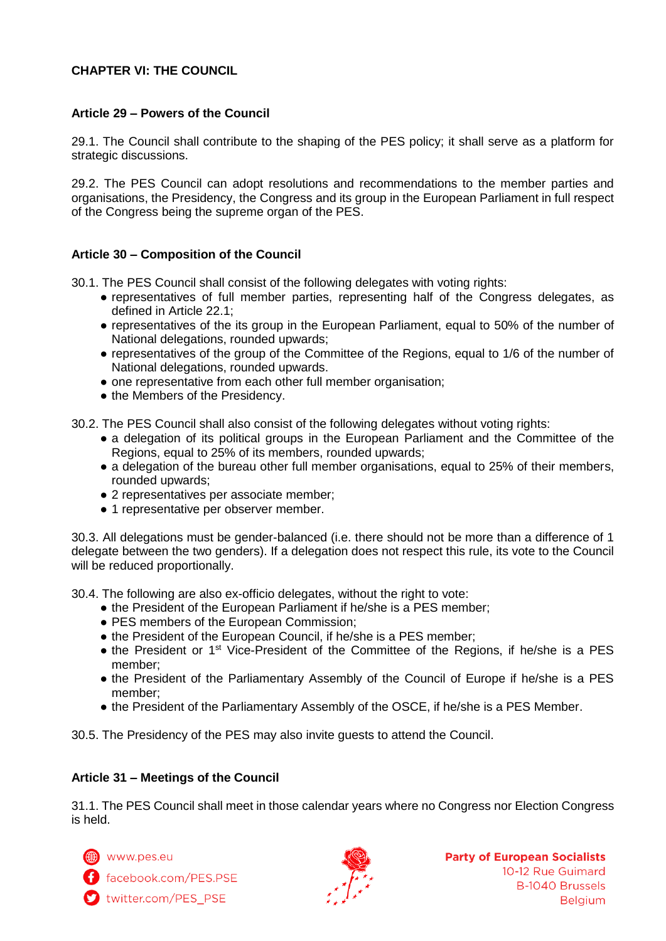# **CHAPTER VI: THE COUNCIL**

### **Article 29 – Powers of the Council**

29.1. The Council shall contribute to the shaping of the PES policy; it shall serve as a platform for strategic discussions.

29.2. The PES Council can adopt resolutions and recommendations to the member parties and organisations, the Presidency, the Congress and its group in the European Parliament in full respect of the Congress being the supreme organ of the PES.

### **Article 30 – Composition of the Council**

30.1. The PES Council shall consist of the following delegates with voting rights:

- representatives of full member parties, representing half of the Congress delegates, as defined in Article 22.1;
- representatives of the its group in the European Parliament, equal to 50% of the number of National delegations, rounded upwards;
- representatives of the group of the Committee of the Regions, equal to 1/6 of the number of National delegations, rounded upwards.
- one representative from each other full member organisation;
- the Members of the Presidency.

30.2. The PES Council shall also consist of the following delegates without voting rights:

- a delegation of its political groups in the European Parliament and the Committee of the Regions, equal to 25% of its members, rounded upwards;
- a delegation of the bureau other full member organisations, equal to 25% of their members, rounded upwards;
- 2 representatives per associate member;
- 1 representative per observer member.

30.3. All delegations must be gender-balanced (i.e. there should not be more than a difference of 1 delegate between the two genders). If a delegation does not respect this rule, its vote to the Council will be reduced proportionally.

30.4. The following are also ex-officio delegates, without the right to vote:

- the President of the European Parliament if he/she is a PES member:
- PES members of the European Commission:
- the President of the European Council, if he/she is a PES member;
- the President or 1<sup>st</sup> Vice-President of the Committee of the Regions, if he/she is a PES member;
- the President of the Parliamentary Assembly of the Council of Europe if he/she is a PES member;
- the President of the Parliamentary Assembly of the OSCE, if he/she is a PES Member.

30.5. The Presidency of the PES may also invite guests to attend the Council.

#### **Article 31 – Meetings of the Council**

31.1. The PES Council shall meet in those calendar years where no Congress nor Election Congress is held.



www.pes.eu facebook.com/PES.PSE twitter.com/PES PSE

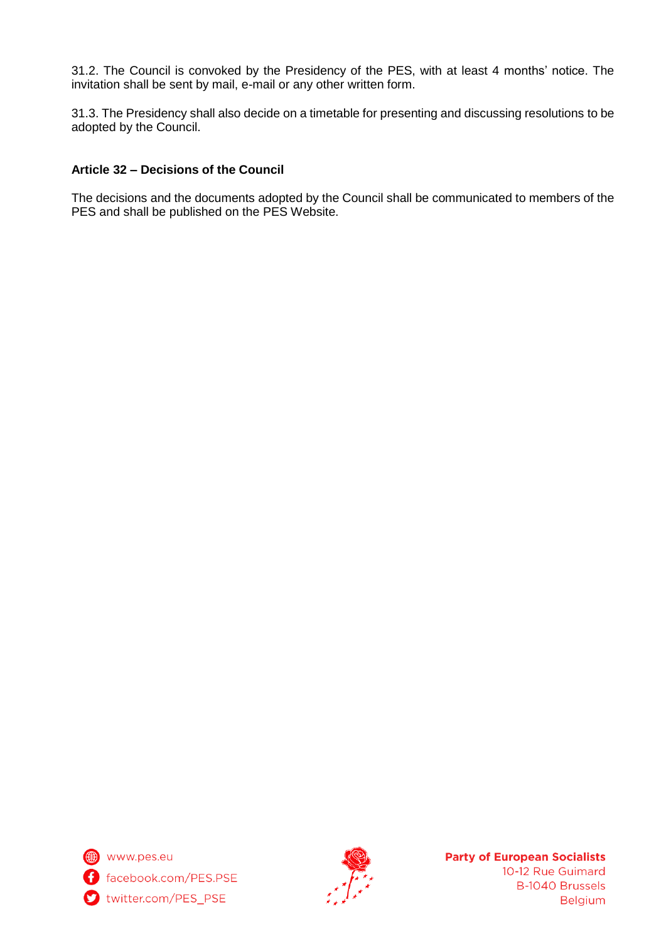31.2. The Council is convoked by the Presidency of the PES, with at least 4 months' notice. The invitation shall be sent by mail, e-mail or any other written form.

31.3. The Presidency shall also decide on a timetable for presenting and discussing resolutions to be adopted by the Council.

# **Article 32 – Decisions of the Council**

The decisions and the documents adopted by the Council shall be communicated to members of the PES and shall be published on the PES Website.

www.pes.eu facebook.com/PES.PSE twitter.com/PES\_PSE

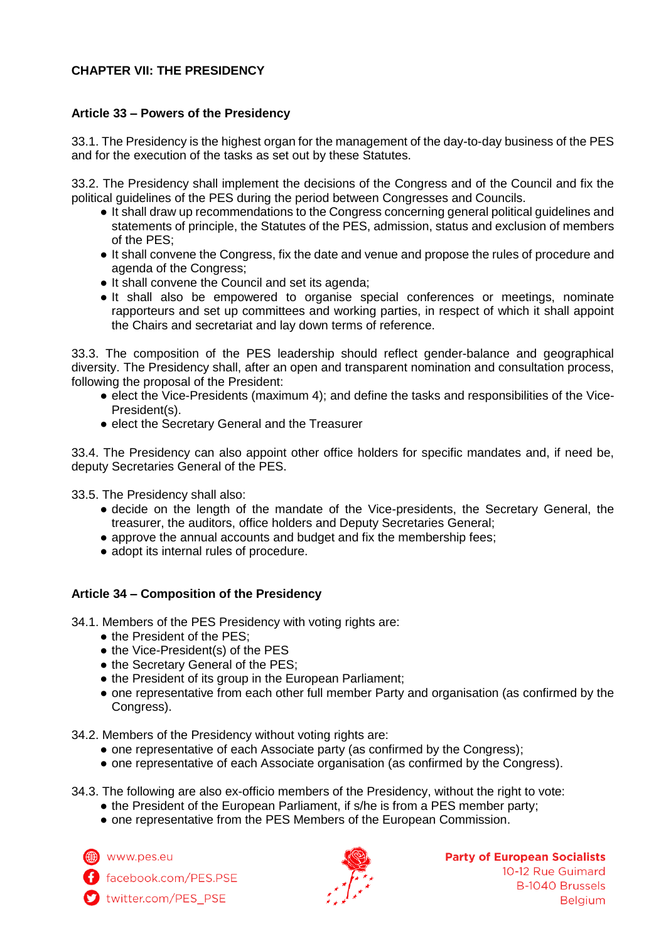# **CHAPTER VII: THE PRESIDENCY**

### **Article 33 – Powers of the Presidency**

33.1. The Presidency is the highest organ for the management of the day-to-day business of the PES and for the execution of the tasks as set out by these Statutes.

33.2. The Presidency shall implement the decisions of the Congress and of the Council and fix the political guidelines of the PES during the period between Congresses and Councils.

- It shall draw up recommendations to the Congress concerning general political guidelines and statements of principle, the Statutes of the PES, admission, status and exclusion of members of the PES;
- It shall convene the Congress, fix the date and venue and propose the rules of procedure and agenda of the Congress;
- It shall convene the Council and set its agenda;
- It shall also be empowered to organise special conferences or meetings, nominate rapporteurs and set up committees and working parties, in respect of which it shall appoint the Chairs and secretariat and lay down terms of reference.

33.3. The composition of the PES leadership should reflect gender-balance and geographical diversity. The Presidency shall, after an open and transparent nomination and consultation process, following the proposal of the President:

- elect the Vice-Presidents (maximum 4); and define the tasks and responsibilities of the Vice-President(s).
- elect the Secretary General and the Treasurer

33.4. The Presidency can also appoint other office holders for specific mandates and, if need be, deputy Secretaries General of the PES.

33.5. The Presidency shall also:

- decide on the length of the mandate of the Vice-presidents, the Secretary General, the treasurer, the auditors, office holders and Deputy Secretaries General;
- approve the annual accounts and budget and fix the membership fees;
- adopt its internal rules of procedure.

### **Article 34 – Composition of the Presidency**

34.1. Members of the PES Presidency with voting rights are:

- the President of the PES:
- the Vice-President(s) of the PES
- the Secretary General of the PES;
- the President of its group in the European Parliament;
- one representative from each other full member Party and organisation (as confirmed by the Congress).
- 34.2. Members of the Presidency without voting rights are:
	- one representative of each Associate party (as confirmed by the Congress);
	- one representative of each Associate organisation (as confirmed by the Congress).
- 34.3. The following are also ex-officio members of the Presidency, without the right to vote:
	- the President of the European Parliament, if s/he is from a PES member party;
	- one representative from the PES Members of the European Commission.

www.pes.eu

facebook.com/PES.PSE

twitter.com/PES PSE

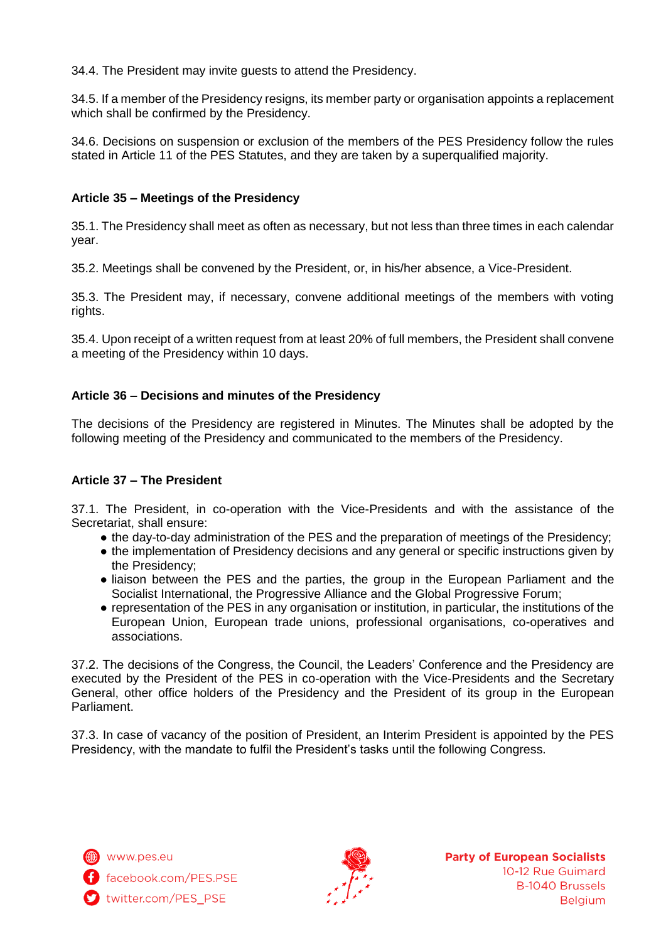34.4. The President may invite guests to attend the Presidency.

34.5. If a member of the Presidency resigns, its member party or organisation appoints a replacement which shall be confirmed by the Presidency.

34.6. Decisions on suspension or exclusion of the members of the PES Presidency follow the rules stated in Article 11 of the PES Statutes, and they are taken by a superqualified majority.

### **Article 35 – Meetings of the Presidency**

35.1. The Presidency shall meet as often as necessary, but not less than three times in each calendar year.

35.2. Meetings shall be convened by the President, or, in his/her absence, a Vice-President.

35.3. The President may, if necessary, convene additional meetings of the members with voting rights.

35.4. Upon receipt of a written request from at least 20% of full members, the President shall convene a meeting of the Presidency within 10 days.

### **Article 36 – Decisions and minutes of the Presidency**

The decisions of the Presidency are registered in Minutes. The Minutes shall be adopted by the following meeting of the Presidency and communicated to the members of the Presidency.

#### **Article 37 – The President**

37.1. The President, in co-operation with the Vice-Presidents and with the assistance of the Secretariat, shall ensure:

- the day-to-day administration of the PES and the preparation of meetings of the Presidency;
- the implementation of Presidency decisions and any general or specific instructions given by the Presidency;
- liaison between the PES and the parties, the group in the European Parliament and the Socialist International, the Progressive Alliance and the Global Progressive Forum;
- representation of the PES in any organisation or institution, in particular, the institutions of the European Union, European trade unions, professional organisations, co-operatives and associations.

37.2. The decisions of the Congress, the Council, the Leaders' Conference and the Presidency are executed by the President of the PES in co-operation with the Vice-Presidents and the Secretary General, other office holders of the Presidency and the President of its group in the European Parliament.

37.3. In case of vacancy of the position of President, an Interim President is appointed by the PES Presidency, with the mandate to fulfil the President's tasks until the following Congress.



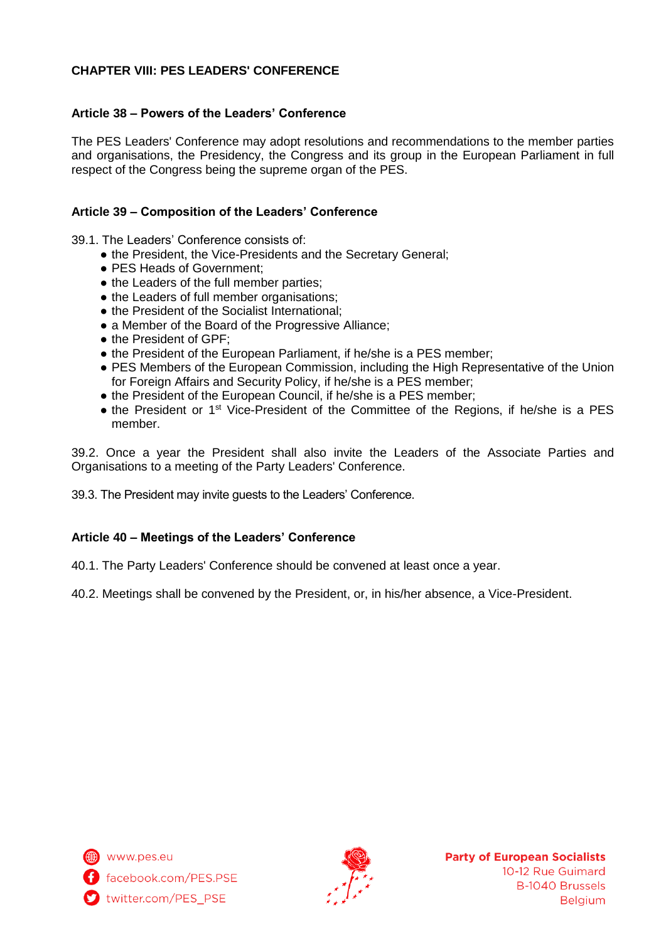# **CHAPTER VIII: PES LEADERS' CONFERENCE**

### **Article 38 – Powers of the Leaders' Conference**

The PES Leaders' Conference may adopt resolutions and recommendations to the member parties and organisations, the Presidency, the Congress and its group in the European Parliament in full respect of the Congress being the supreme organ of the PES.

### **Article 39 – Composition of the Leaders' Conference**

39.1. The Leaders' Conference consists of:

- the President, the Vice-Presidents and the Secretary General;
- PES Heads of Government:
- the Leaders of the full member parties;
- the Leaders of full member organisations:
- the President of the Socialist International;
- a Member of the Board of the Progressive Alliance;
- the President of GPF:
- the President of the European Parliament, if he/she is a PES member;
- PES Members of the European Commission, including the High Representative of the Union for Foreign Affairs and Security Policy, if he/she is a PES member;
- the President of the European Council, if he/she is a PES member;
- the President or 1<sup>st</sup> Vice-President of the Committee of the Regions, if he/she is a PES member.

39.2. Once a year the President shall also invite the Leaders of the Associate Parties and Organisations to a meeting of the Party Leaders' Conference.

39.3. The President may invite guests to the Leaders' Conference.

### **Article 40 – Meetings of the Leaders' Conference**

40.1. The Party Leaders' Conference should be convened at least once a year.

40.2. Meetings shall be convened by the President, or, in his/her absence, a Vice-President.

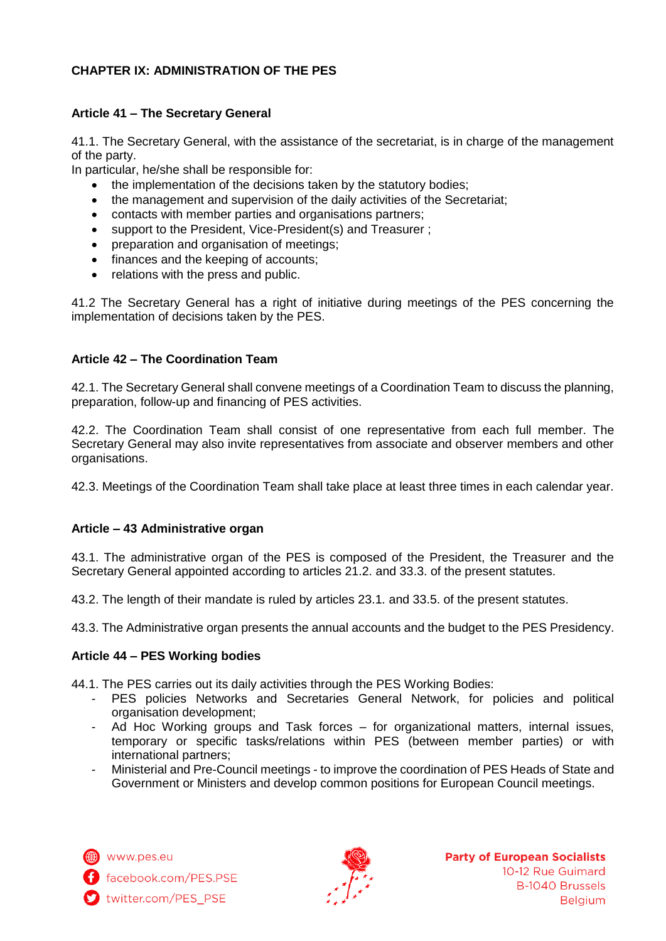# **CHAPTER IX: ADMINISTRATION OF THE PES**

# **Article 41 – The Secretary General**

41.1. The Secretary General, with the assistance of the secretariat, is in charge of the management of the party.

In particular, he/she shall be responsible for:

- the implementation of the decisions taken by the statutory bodies:
- the management and supervision of the daily activities of the Secretariat;
- contacts with member parties and organisations partners;
- support to the President, Vice-President(s) and Treasurer ;
- preparation and organisation of meetings;
- finances and the keeping of accounts;
- relations with the press and public.

41.2 The Secretary General has a right of initiative during meetings of the PES concerning the implementation of decisions taken by the PES.

# **Article 42 – The Coordination Team**

42.1. The Secretary General shall convene meetings of a Coordination Team to discuss the planning, preparation, follow-up and financing of PES activities.

42.2. The Coordination Team shall consist of one representative from each full member. The Secretary General may also invite representatives from associate and observer members and other organisations.

42.3. Meetings of the Coordination Team shall take place at least three times in each calendar year.

### **Article – 43 Administrative organ**

43.1. The administrative organ of the PES is composed of the President, the Treasurer and the Secretary General appointed according to articles 21.2. and 33.3. of the present statutes.

43.2. The length of their mandate is ruled by articles 23.1. and 33.5. of the present statutes.

43.3. The Administrative organ presents the annual accounts and the budget to the PES Presidency.

### **Article 44 – PES Working bodies**

44.1. The PES carries out its daily activities through the PES Working Bodies:

- PES policies Networks and Secretaries General Network, for policies and political organisation development;
- Ad Hoc Working groups and Task forces for organizational matters, internal issues, temporary or specific tasks/relations within PES (between member parties) or with international partners;
- Ministerial and Pre-Council meetings to improve the coordination of PES Heads of State and Government or Ministers and develop common positions for European Council meetings.



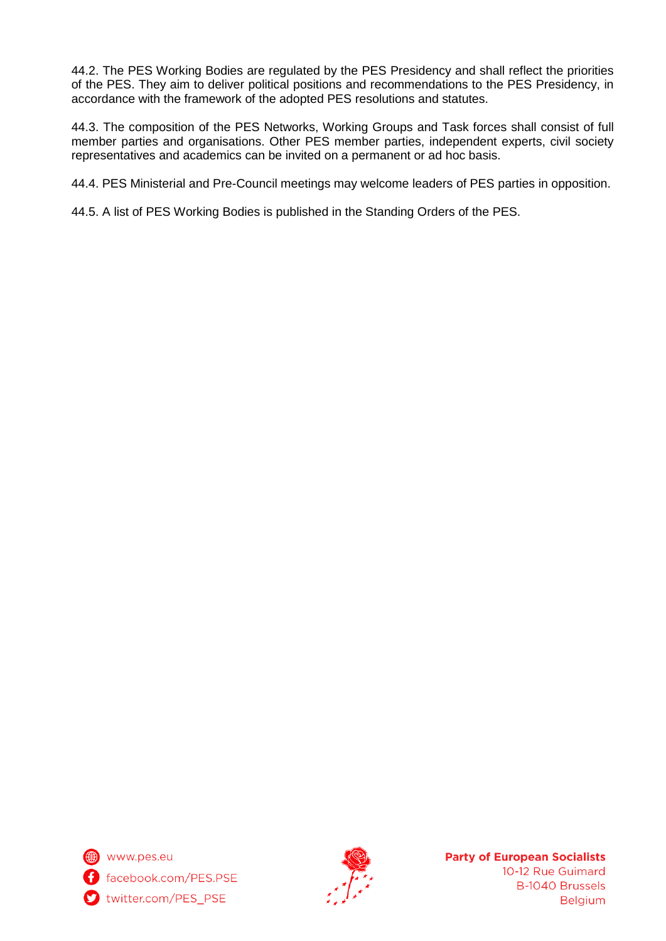44.2. The PES Working Bodies are regulated by the PES Presidency and shall reflect the priorities of the PES. They aim to deliver political positions and recommendations to the PES Presidency, in accordance with the framework of the adopted PES resolutions and statutes.

44.3. The composition of the PES Networks, Working Groups and Task forces shall consist of full member parties and organisations. Other PES member parties, independent experts, civil society representatives and academics can be invited on a permanent or ad hoc basis.

44.4. PES Ministerial and Pre-Council meetings may welcome leaders of PES parties in opposition.

44.5. A list of PES Working Bodies is published in the Standing Orders of the PES.

www.pes.eu facebook.com/PES.PSE twitter.com/PES\_PSE

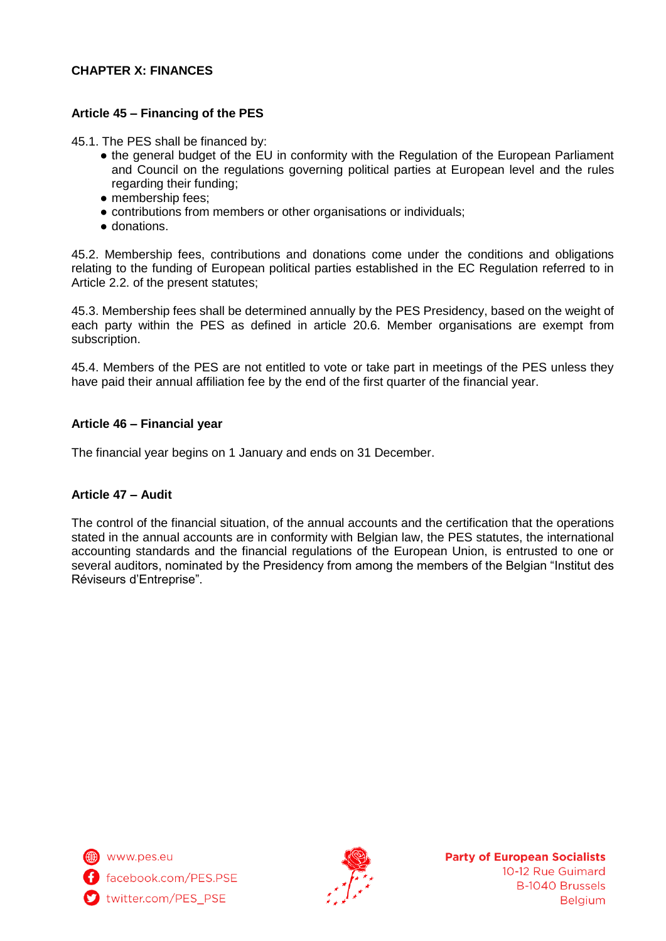### **CHAPTER X: FINANCES**

### **Article 45 – Financing of the PES**

45.1. The PES shall be financed by:

- the general budget of the EU in conformity with the Regulation of the European Parliament and Council on the regulations governing political parties at European level and the rules regarding their funding;
- membership fees:
- contributions from members or other organisations or individuals;
- donations.

45.2. Membership fees, contributions and donations come under the conditions and obligations relating to the funding of European political parties established in the EC Regulation referred to in Article 2.2. of the present statutes;

45.3. Membership fees shall be determined annually by the PES Presidency, based on the weight of each party within the PES as defined in article 20.6. Member organisations are exempt from subscription.

45.4. Members of the PES are not entitled to vote or take part in meetings of the PES unless they have paid their annual affiliation fee by the end of the first quarter of the financial year.

#### **Article 46 – Financial year**

The financial year begins on 1 January and ends on 31 December.

#### **Article 47 – Audit**

The control of the financial situation, of the annual accounts and the certification that the operations stated in the annual accounts are in conformity with Belgian law, the PES statutes, the international accounting standards and the financial regulations of the European Union, is entrusted to one or several auditors, nominated by the Presidency from among the members of the Belgian "Institut des Réviseurs d'Entreprise".



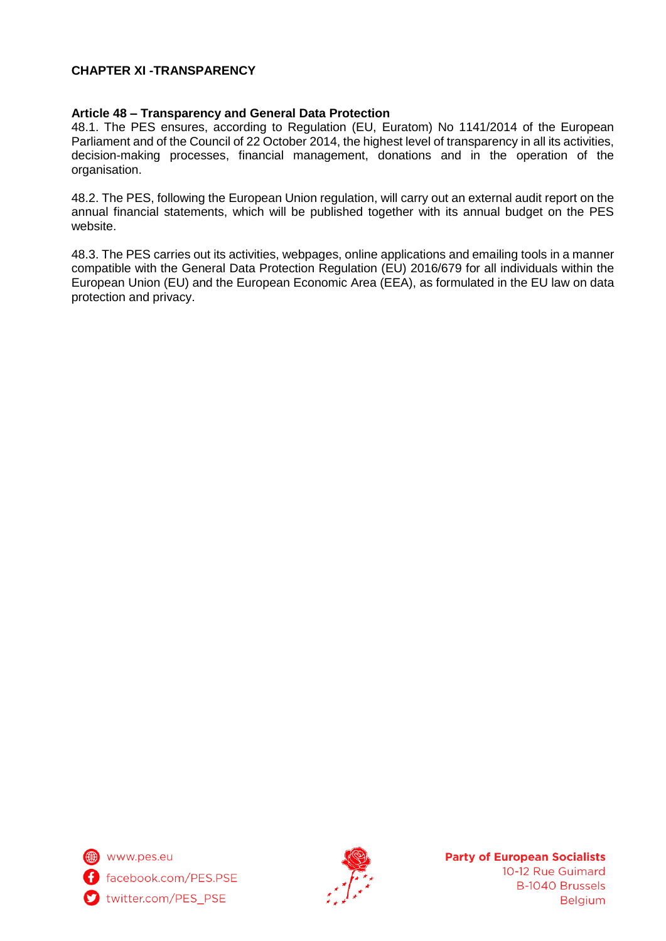### **CHAPTER XI -TRANSPARENCY**

#### **Article 48 – Transparency and General Data Protection**

48.1. The PES ensures, according to Regulation (EU, Euratom) No 1141/2014 of the European Parliament and of the Council of 22 October 2014, the highest level of transparency in all its activities, decision-making processes, financial management, donations and in the operation of the organisation.

48.2. The PES, following the European Union regulation, will carry out an external audit report on the annual financial statements, which will be published together with its annual budget on the PES website.

48.3. The PES carries out its activities, webpages, online applications and emailing tools in a manner compatible with the General Data Protection Regulation (EU) 2016/679 for all individuals within the European Union (EU) and the European Economic Area (EEA), as formulated in the EU law on data protection and privacy.



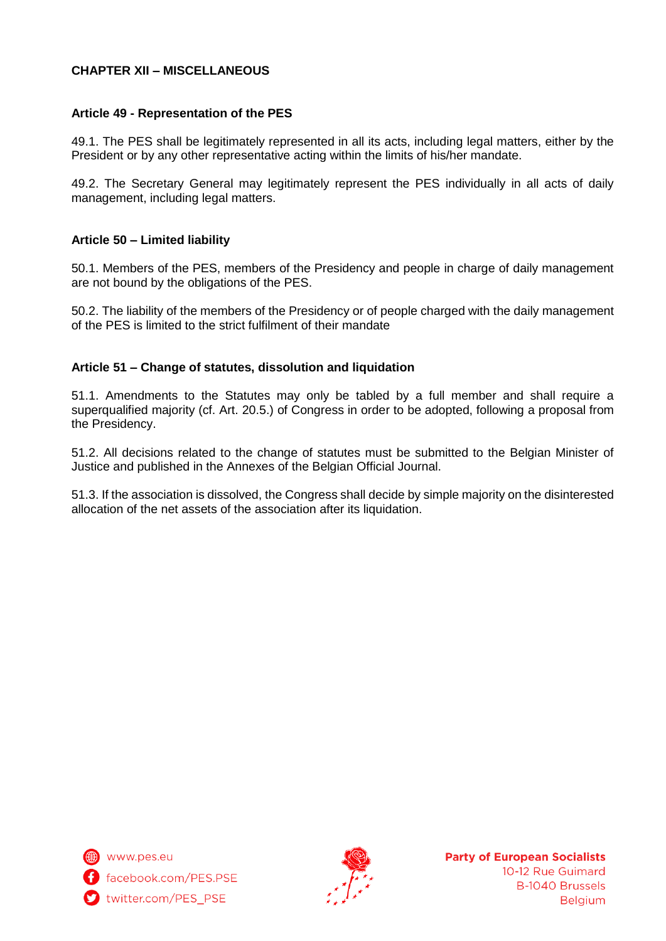# **CHAPTER XII – MISCELLANEOUS**

### **Article 49 - Representation of the PES**

49.1. The PES shall be legitimately represented in all its acts, including legal matters, either by the President or by any other representative acting within the limits of his/her mandate.

49.2. The Secretary General may legitimately represent the PES individually in all acts of daily management, including legal matters.

### **Article 50 – Limited liability**

50.1. Members of the PES, members of the Presidency and people in charge of daily management are not bound by the obligations of the PES.

50.2. The liability of the members of the Presidency or of people charged with the daily management of the PES is limited to the strict fulfilment of their mandate

### **Article 51 – Change of statutes, dissolution and liquidation**

51.1. Amendments to the Statutes may only be tabled by a full member and shall require a superqualified majority (cf. Art. 20.5.) of Congress in order to be adopted, following a proposal from the Presidency.

51.2. All decisions related to the change of statutes must be submitted to the Belgian Minister of Justice and published in the Annexes of the Belgian Official Journal.

51.3. If the association is dissolved, the Congress shall decide by simple majority on the disinterested allocation of the net assets of the association after its liquidation.



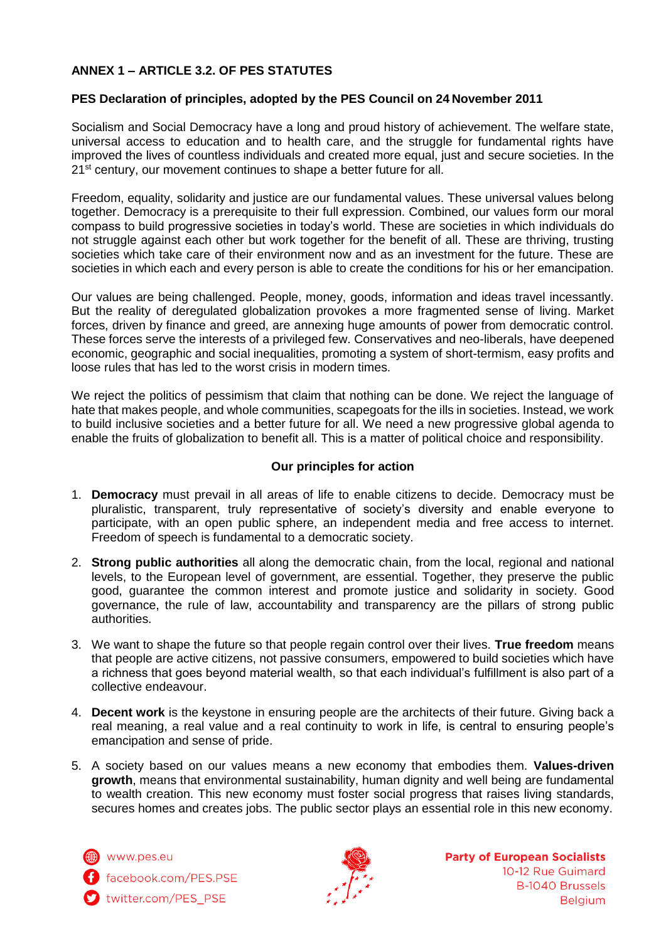# **ANNEX 1 – ARTICLE 3.2. OF PES STATUTES**

#### **PES Declaration of principles, adopted by the PES Council on 24 November 2011**

Socialism and Social Democracy have a long and proud history of achievement. The welfare state, universal access to education and to health care, and the struggle for fundamental rights have improved the lives of countless individuals and created more equal, just and secure societies. In the 21<sup>st</sup> century, our movement continues to shape a better future for all.

Freedom, equality, solidarity and justice are our fundamental values. These universal values belong together. Democracy is a prerequisite to their full expression. Combined, our values form our moral compass to build progressive societies in today's world. These are societies in which individuals do not struggle against each other but work together for the benefit of all. These are thriving, trusting societies which take care of their environment now and as an investment for the future. These are societies in which each and every person is able to create the conditions for his or her emancipation.

Our values are being challenged. People, money, goods, information and ideas travel incessantly. But the reality of deregulated globalization provokes a more fragmented sense of living. Market forces, driven by finance and greed, are annexing huge amounts of power from democratic control. These forces serve the interests of a privileged few. Conservatives and neo-liberals, have deepened economic, geographic and social inequalities, promoting a system of short-termism, easy profits and loose rules that has led to the worst crisis in modern times.

We reject the politics of pessimism that claim that nothing can be done. We reject the language of hate that makes people, and whole communities, scapegoats for the ills in societies. Instead, we work to build inclusive societies and a better future for all. We need a new progressive global agenda to enable the fruits of globalization to benefit all. This is a matter of political choice and responsibility.

#### **Our principles for action**

- 1. **Democracy** must prevail in all areas of life to enable citizens to decide. Democracy must be pluralistic, transparent, truly representative of society's diversity and enable everyone to participate, with an open public sphere, an independent media and free access to internet. Freedom of speech is fundamental to a democratic society.
- 2. **Strong public authorities** all along the democratic chain, from the local, regional and national levels, to the European level of government, are essential. Together, they preserve the public good, guarantee the common interest and promote justice and solidarity in society. Good governance, the rule of law, accountability and transparency are the pillars of strong public authorities.
- 3. We want to shape the future so that people regain control over their lives. **True freedom** means that people are active citizens, not passive consumers, empowered to build societies which have a richness that goes beyond material wealth, so that each individual's fulfillment is also part of a collective endeavour.
- 4. **Decent work** is the keystone in ensuring people are the architects of their future. Giving back a real meaning, a real value and a real continuity to work in life, is central to ensuring people's emancipation and sense of pride.
- 5. A society based on our values means a new economy that embodies them. **Values-driven growth**, means that environmental sustainability, human dignity and well being are fundamental to wealth creation. This new economy must foster social progress that raises living standards, secures homes and creates jobs. The public sector plays an essential role in this new economy.



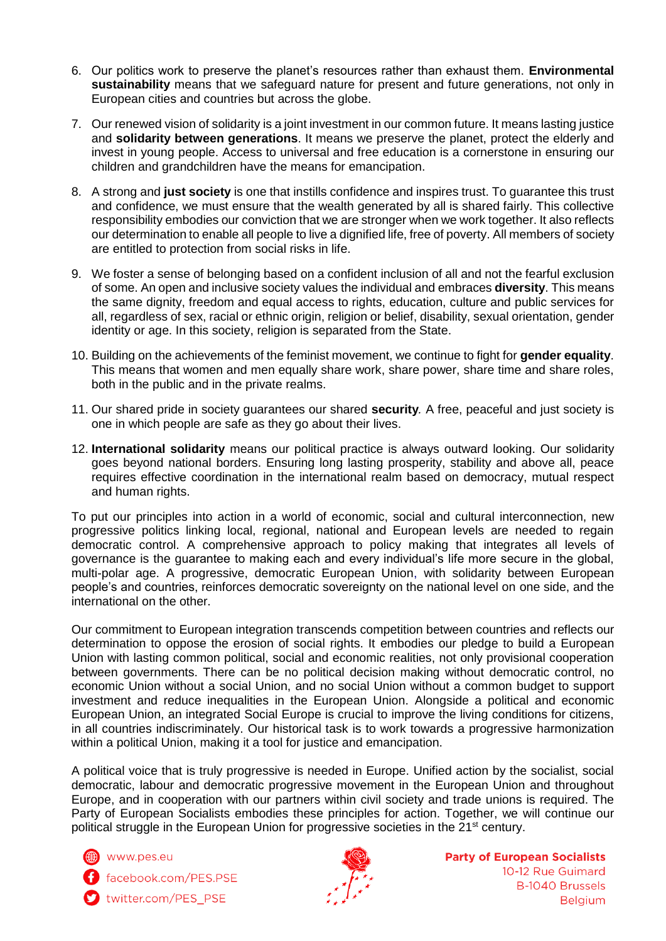- 6. Our politics work to preserve the planet's resources rather than exhaust them. **Environmental sustainability** means that we safeguard nature for present and future generations, not only in European cities and countries but across the globe.
- 7. Our renewed vision of solidarity is a joint investment in our common future. It means lasting justice and **solidarity between generations**. It means we preserve the planet, protect the elderly and invest in young people. Access to universal and free education is a cornerstone in ensuring our children and grandchildren have the means for emancipation.
- 8. A strong and **just society** is one that instills confidence and inspires trust. To guarantee this trust and confidence, we must ensure that the wealth generated by all is shared fairly. This collective responsibility embodies our conviction that we are stronger when we work together. It also reflects our determination to enable all people to live a dignified life, free of poverty. All members of society are entitled to protection from social risks in life.
- 9. We foster a sense of belonging based on a confident inclusion of all and not the fearful exclusion of some. An open and inclusive society values the individual and embraces **diversity**. This means the same dignity, freedom and equal access to rights, education, culture and public services for all, regardless of sex, racial or ethnic origin, religion or belief, disability, sexual orientation, gender identity or age. In this society, religion is separated from the State.
- 10. Building on the achievements of the feminist movement, we continue to fight for **gender equality**. This means that women and men equally share work, share power, share time and share roles, both in the public and in the private realms.
- 11. Our shared pride in society guarantees our shared **security***.* A free, peaceful and just society is one in which people are safe as they go about their lives.
- 12. **International solidarity** means our political practice is always outward looking. Our solidarity goes beyond national borders. Ensuring long lasting prosperity, stability and above all, peace requires effective coordination in the international realm based on democracy, mutual respect and human rights.

To put our principles into action in a world of economic, social and cultural interconnection, new progressive politics linking local, regional, national and European levels are needed to regain democratic control. A comprehensive approach to policy making that integrates all levels of governance is the guarantee to making each and every individual's life more secure in the global, multi-polar age. A progressive, democratic European Union, with solidarity between European people's and countries, reinforces democratic sovereignty on the national level on one side, and the international on the other.

Our commitment to European integration transcends competition between countries and reflects our determination to oppose the erosion of social rights. It embodies our pledge to build a European Union with lasting common political, social and economic realities, not only provisional cooperation between governments. There can be no political decision making without democratic control, no economic Union without a social Union, and no social Union without a common budget to support investment and reduce inequalities in the European Union. Alongside a political and economic European Union, an integrated Social Europe is crucial to improve the living conditions for citizens, in all countries indiscriminately. Our historical task is to work towards a progressive harmonization within a political Union, making it a tool for justice and emancipation.

A political voice that is truly progressive is needed in Europe. Unified action by the socialist, social democratic, labour and democratic progressive movement in the European Union and throughout Europe, and in cooperation with our partners within civil society and trade unions is required. The Party of European Socialists embodies these principles for action. Together, we will continue our political struggle in the European Union for progressive societies in the 21<sup>st</sup> century.



www.pes.eu facebook.com/PES.PSE witter.com/PES\_PSE

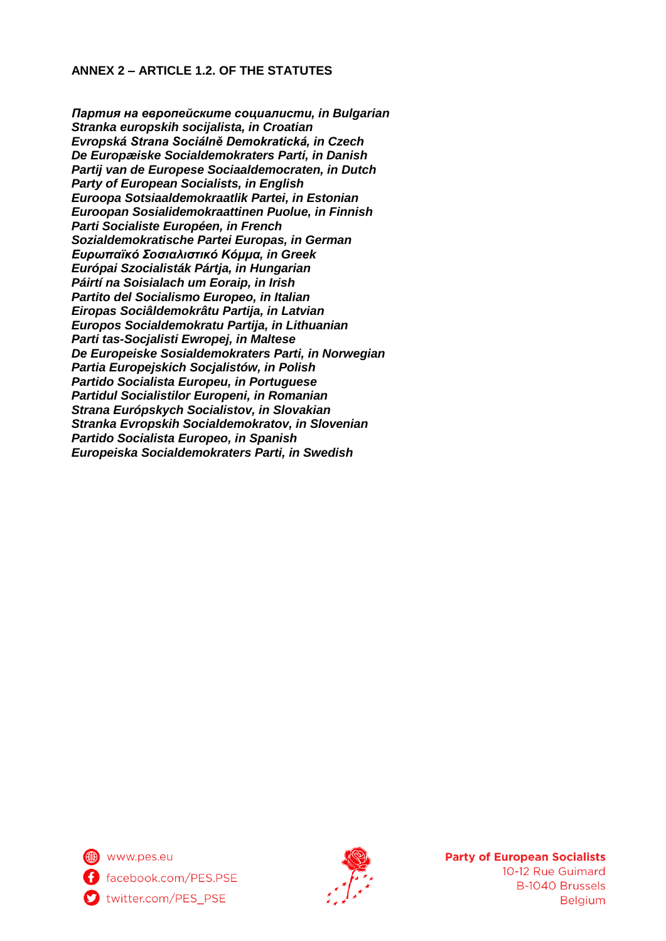### **ANNEX 2 – ARTICLE 1.2. OF THE STATUTES**

*Партия на европейските социалисти, in Bulgarian Stranka europskih socijalista, in Croatian Evropská Strana Sociálně Demokratická, in Czech De Europæiske Socialdemokraters Parti, in Danish Partij van de Europese Sociaaldemocraten, in Dutch Party of European Socialists, in English Euroopa Sotsiaaldemokraatlik Partei, in Estonian Euroopan Sosialidemokraattinen Puolue, in Finnish Parti Socialiste Européen, in French Sozialdemokratische Partei Europas, in German Ευρωπαϊκό Σoσιαλιστικό Κόμμα, in Greek Európai Szocialisták Pártja, in Hungarian Páirtí na Soisialach um Eoraip, in Irish Partito del Socialismo Europeo, in Italian Eiropas Sociâldemokrâtu Partija, in Latvian Europos Socialdemokratu Partija, in Lithuanian Parti tas-Socjalisti Ewropej, in Maltese De Europeiske Sosialdemokraters Parti, in Norwegian Partia Europejskich Socjalistów, in Polish Partido Socialista Europeu, in Portuguese Partidul Socialistilor Europeni, in Romanian Strana Európskych Socialistov, in Slovakian Stranka Evropskih Socialdemokratov, in Slovenian Partido Socialista Europeo, in Spanish Europeiska Socialdemokraters Parti, in Swedish*

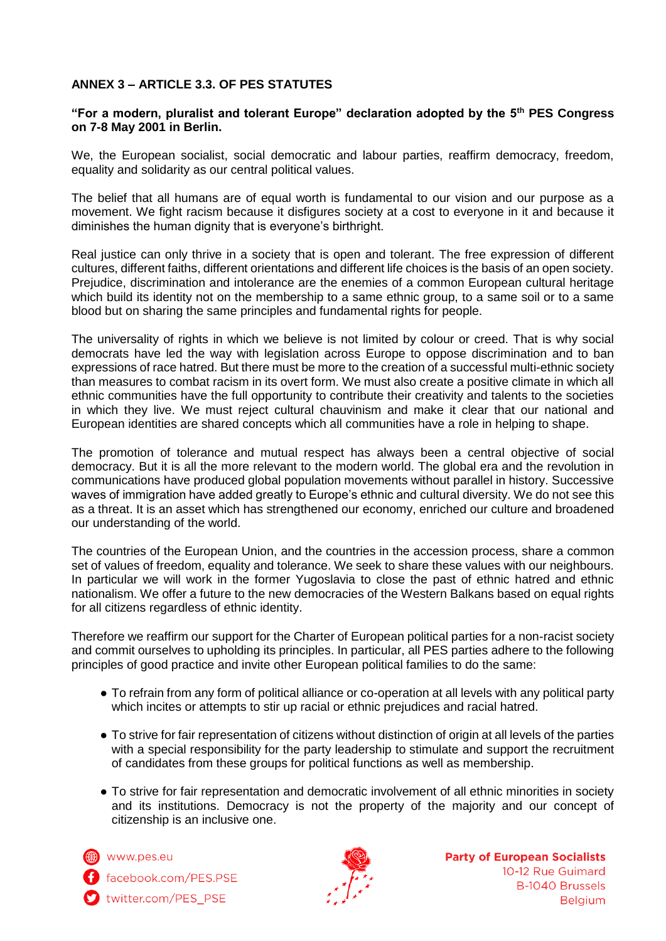### **ANNEX 3 – ARTICLE 3.3. OF PES STATUTES**

#### **"For a modern, pluralist and tolerant Europe" declaration adopted by the 5th PES Congress on 7-8 May 2001 in Berlin.**

We, the European socialist, social democratic and labour parties, reaffirm democracy, freedom, equality and solidarity as our central political values.

The belief that all humans are of equal worth is fundamental to our vision and our purpose as a movement. We fight racism because it disfigures society at a cost to everyone in it and because it diminishes the human dignity that is everyone's birthright.

Real justice can only thrive in a society that is open and tolerant. The free expression of different cultures, different faiths, different orientations and different life choices is the basis of an open society. Prejudice, discrimination and intolerance are the enemies of a common European cultural heritage which build its identity not on the membership to a same ethnic group, to a same soil or to a same blood but on sharing the same principles and fundamental rights for people.

The universality of rights in which we believe is not limited by colour or creed. That is why social democrats have led the way with legislation across Europe to oppose discrimination and to ban expressions of race hatred. But there must be more to the creation of a successful multi-ethnic society than measures to combat racism in its overt form. We must also create a positive climate in which all ethnic communities have the full opportunity to contribute their creativity and talents to the societies in which they live. We must reject cultural chauvinism and make it clear that our national and European identities are shared concepts which all communities have a role in helping to shape.

The promotion of tolerance and mutual respect has always been a central objective of social democracy. But it is all the more relevant to the modern world. The global era and the revolution in communications have produced global population movements without parallel in history. Successive waves of immigration have added greatly to Europe's ethnic and cultural diversity. We do not see this as a threat. It is an asset which has strengthened our economy, enriched our culture and broadened our understanding of the world.

The countries of the European Union, and the countries in the accession process, share a common set of values of freedom, equality and tolerance. We seek to share these values with our neighbours. In particular we will work in the former Yugoslavia to close the past of ethnic hatred and ethnic nationalism. We offer a future to the new democracies of the Western Balkans based on equal rights for all citizens regardless of ethnic identity.

Therefore we reaffirm our support for the Charter of European political parties for a non-racist society and commit ourselves to upholding its principles. In particular, all PES parties adhere to the following principles of good practice and invite other European political families to do the same:

- To refrain from any form of political alliance or co-operation at all levels with any political party which incites or attempts to stir up racial or ethnic prejudices and racial hatred.
- To strive for fair representation of citizens without distinction of origin at all levels of the parties with a special responsibility for the party leadership to stimulate and support the recruitment of candidates from these groups for political functions as well as membership.
- To strive for fair representation and democratic involvement of all ethnic minorities in society and its institutions. Democracy is not the property of the majority and our concept of citizenship is an inclusive one.

www.pes.eu facebook.com/PES.PSE twitter.com/PES PSE